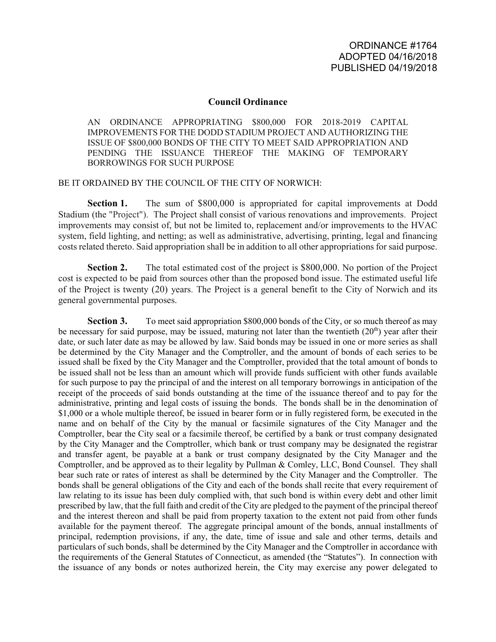## **Council Ordinance**

AN ORDINANCE APPROPRIATING \$800,000 FOR 2018-2019 CAPITAL IMPROVEMENTS FOR THE DODD STADIUM PROJECT AND AUTHORIZING THE ISSUE OF \$800,000 BONDS OF THE CITY TO MEET SAID APPROPRIATION AND PENDING THE ISSUANCE THEREOF THE MAKING OF TEMPORARY BORROWINGS FOR SUCH PURPOSE

## BE IT ORDAINED BY THE COUNCIL OF THE CITY OF NORWICH:

**Section 1.** The sum of \$800,000 is appropriated for capital improvements at Dodd Stadium (the "Project"). The Project shall consist of various renovations and improvements. Project improvements may consist of, but not be limited to, replacement and/or improvements to the HVAC system, field lighting, and netting; as well as administrative, advertising, printing, legal and financing costs related thereto. Said appropriation shall be in addition to all other appropriations for said purpose.

**Section 2.** The total estimated cost of the project is \$800,000. No portion of the Project cost is expected to be paid from sources other than the proposed bond issue. The estimated useful life of the Project is twenty (20) years. The Project is a general benefit to the City of Norwich and its general governmental purposes.

**Section 3.** To meet said appropriation \$800,000 bonds of the City, or so much thereof as may be necessary for said purpose, may be issued, maturing not later than the twentieth  $(20<sup>th</sup>)$  year after their date, or such later date as may be allowed by law. Said bonds may be issued in one or more series as shall be determined by the City Manager and the Comptroller, and the amount of bonds of each series to be issued shall be fixed by the City Manager and the Comptroller, provided that the total amount of bonds to be issued shall not be less than an amount which will provide funds sufficient with other funds available for such purpose to pay the principal of and the interest on all temporary borrowings in anticipation of the receipt of the proceeds of said bonds outstanding at the time of the issuance thereof and to pay for the administrative, printing and legal costs of issuing the bonds. The bonds shall be in the denomination of \$1,000 or a whole multiple thereof, be issued in bearer form or in fully registered form, be executed in the name and on behalf of the City by the manual or facsimile signatures of the City Manager and the Comptroller, bear the City seal or a facsimile thereof, be certified by a bank or trust company designated by the City Manager and the Comptroller, which bank or trust company may be designated the registrar and transfer agent, be payable at a bank or trust company designated by the City Manager and the Comptroller, and be approved as to their legality by Pullman & Comley, LLC, Bond Counsel. They shall bear such rate or rates of interest as shall be determined by the City Manager and the Comptroller. The bonds shall be general obligations of the City and each of the bonds shall recite that every requirement of law relating to its issue has been duly complied with, that such bond is within every debt and other limit prescribed by law, that the full faith and credit of the City are pledged to the payment of the principal thereof and the interest thereon and shall be paid from property taxation to the extent not paid from other funds available for the payment thereof. The aggregate principal amount of the bonds, annual installments of principal, redemption provisions, if any, the date, time of issue and sale and other terms, details and particulars of such bonds, shall be determined by the City Manager and the Comptroller in accordance with the requirements of the General Statutes of Connecticut, as amended (the "Statutes"). In connection with the issuance of any bonds or notes authorized herein, the City may exercise any power delegated to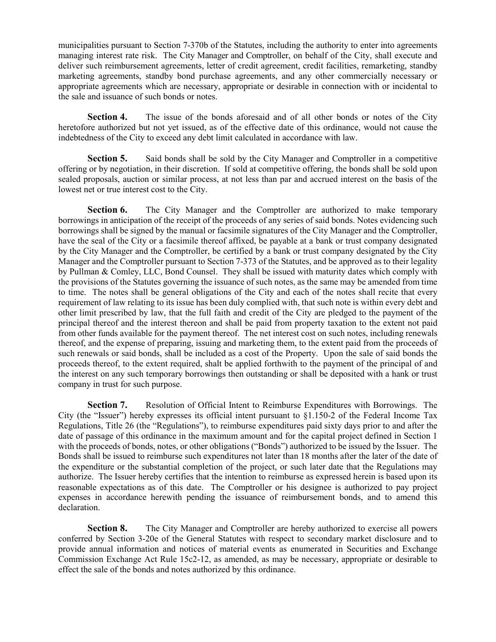municipalities pursuant to Section 7-370b of the Statutes, including the authority to enter into agreements managing interest rate risk. The City Manager and Comptroller, on behalf of the City, shall execute and deliver such reimbursement agreements, letter of credit agreement, credit facilities, remarketing, standby marketing agreements, standby bond purchase agreements, and any other commercially necessary or appropriate agreements which are necessary, appropriate or desirable in connection with or incidental to the sale and issuance of such bonds or notes.

Section 4. The issue of the bonds aforesaid and of all other bonds or notes of the City heretofore authorized but not yet issued, as of the effective date of this ordinance, would not cause the indebtedness of the City to exceed any debt limit calculated in accordance with law.

**Section 5.** Said bonds shall be sold by the City Manager and Comptroller in a competitive offering or by negotiation, in their discretion. If sold at competitive offering, the bonds shall be sold upon sealed proposals, auction or similar process, at not less than par and accrued interest on the basis of the lowest net or true interest cost to the City.

**Section 6.** The City Manager and the Comptroller are authorized to make temporary borrowings in anticipation of the receipt of the proceeds of any series of said bonds. Notes evidencing such borrowings shall be signed by the manual or facsimile signatures of the City Manager and the Comptroller, have the seal of the City or a facsimile thereof affixed, be payable at a bank or trust company designated by the City Manager and the Comptroller, be certified by a bank or trust company designated by the City Manager and the Comptroller pursuant to Section 7-373 of the Statutes, and be approved as to their legality by Pullman & Comley, LLC, Bond Counsel. They shall be issued with maturity dates which comply with the provisions of the Statutes governing the issuance of such notes, as the same may be amended from time to time. The notes shall be general obligations of the City and each of the notes shall recite that every requirement of law relating to its issue has been duly complied with, that such note is within every debt and other limit prescribed by law, that the full faith and credit of the City are pledged to the payment of the principal thereof and the interest thereon and shall be paid from property taxation to the extent not paid from other funds available for the payment thereof. The net interest cost on such notes, including renewals thereof, and the expense of preparing, issuing and marketing them, to the extent paid from the proceeds of such renewals or said bonds, shall be included as a cost of the Property. Upon the sale of said bonds the proceeds thereof, to the extent required, shalt be applied forthwith to the payment of the principal of and the interest on any such temporary borrowings then outstanding or shall be deposited with a hank or trust company in trust for such purpose.

**Section 7.** Resolution of Official Intent to Reimburse Expenditures with Borrowings. The City (the "Issuer") hereby expresses its official intent pursuant to  $\S1.150-2$  of the Federal Income Tax Regulations, Title 26 (the "Regulations"), to reimburse expenditures paid sixty days prior to and after the date of passage of this ordinance in the maximum amount and for the capital project defined in Section 1 with the proceeds of bonds, notes, or other obligations ("Bonds") authorized to be issued by the Issuer. The Bonds shall be issued to reimburse such expenditures not later than 18 months after the later of the date of the expenditure or the substantial completion of the project, or such later date that the Regulations may authorize. The Issuer hereby certifies that the intention to reimburse as expressed herein is based upon its reasonable expectations as of this date. The Comptroller or his designee is authorized to pay project expenses in accordance herewith pending the issuance of reimbursement bonds, and to amend this declaration.

**Section 8.** The City Manager and Comptroller are hereby authorized to exercise all powers conferred by Section 3-20e of the General Statutes with respect to secondary market disclosure and to provide annual information and notices of material events as enumerated in Securities and Exchange Commission Exchange Act Rule 15c2-12, as amended, as may be necessary, appropriate or desirable to effect the sale of the bonds and notes authorized by this ordinance.